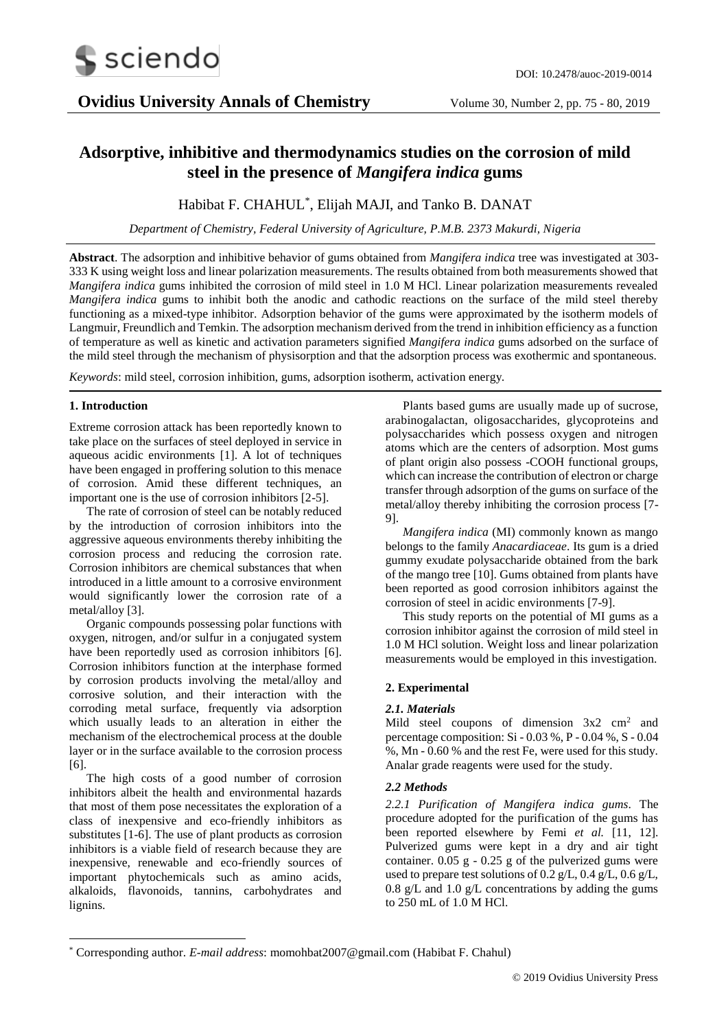

# **Adsorptive, inhibitive and thermodynamics studies on the corrosion of mild steel in the presence of** *Mangifera indica* **gums**

## Habibat F. CHAHUL\* , Elijah MAJI, and Tanko B. DANAT

*Department of Chemistry, Federal University of Agriculture, P.M.B. 2373 Makurdi, Nigeria*

**Abstract**. The adsorption and inhibitive behavior of gums obtained from *Mangifera indica* tree was investigated at 303- 333 K using weight loss and linear polarization measurements. The results obtained from both measurements showed that *Mangifera indica* gums inhibited the corrosion of mild steel in 1.0 M HCl. Linear polarization measurements revealed *Mangifera indica* gums to inhibit both the anodic and cathodic reactions on the surface of the mild steel thereby functioning as a mixed-type inhibitor. Adsorption behavior of the gums were approximated by the isotherm models of Langmuir, Freundlich and Temkin. The adsorption mechanism derived from the trend in inhibition efficiency as a function of temperature as well as kinetic and activation parameters signified *Mangifera indica* gums adsorbed on the surface of the mild steel through the mechanism of physisorption and that the adsorption process was exothermic and spontaneous.

*Keywords*: mild steel, corrosion inhibition, gums, adsorption isotherm, activation energy*.*

### **1. Introduction**

-

Extreme corrosion attack has been reportedly known to take place on the surfaces of steel deployed in service in aqueous acidic environments [1]. A lot of techniques have been engaged in proffering solution to this menace of corrosion. Amid these different techniques, an important one is the use of corrosion inhibitors [2-5].

The rate of corrosion of steel can be notably reduced by the introduction of corrosion inhibitors into the aggressive aqueous environments thereby inhibiting the corrosion process and reducing the corrosion rate. Corrosion inhibitors are chemical substances that when introduced in a little amount to a corrosive environment would significantly lower the corrosion rate of a metal/alloy [3].

Organic compounds possessing polar functions with oxygen, nitrogen, and/or sulfur in a conjugated system have been reportedly used as corrosion inhibitors [6]. Corrosion inhibitors function at the interphase formed by corrosion products involving the metal/alloy and corrosive solution, and their interaction with the corroding metal surface, frequently via adsorption which usually leads to an alteration in either the mechanism of the electrochemical process at the double layer or in the surface available to the corrosion process [6].

The high costs of a good number of corrosion inhibitors albeit the health and environmental hazards that most of them pose necessitates the exploration of a class of inexpensive and eco-friendly inhibitors as substitutes [1-6]. The use of plant products as corrosion inhibitors is a viable field of research because they are inexpensive, renewable and eco-friendly sources of important phytochemicals such as amino acids, alkaloids, flavonoids, tannins, carbohydrates and lignins.

Plants based gums are usually made up of sucrose, arabinogalactan, oligosaccharides, glycoproteins and polysaccharides which possess oxygen and nitrogen atoms which are the centers of adsorption. Most gums of plant origin also possess -COOH functional groups, which can increase the contribution of electron or charge transfer through adsorption of the gums on surface of the metal/alloy thereby inhibiting the corrosion process [7- 9].

*Mangifera indica* (MI) commonly known as mango belongs to the family *Anacardiaceae*. Its gum is a dried gummy exudate polysaccharide obtained from the bark of the mango tree [10]. Gums obtained from plants have been reported as good corrosion inhibitors against the corrosion of steel in acidic environments [7-9].

This study reports on the potential of MI gums as a corrosion inhibitor against the corrosion of mild steel in 1.0 M HCl solution. Weight loss and linear polarization measurements would be employed in this investigation.

### **2. Experimental**

### *2.1. Materials*

Mild steel coupons of dimension  $3x^2$  cm<sup>2</sup> and percentage composition: Si - 0.03 %, P - 0.04 %, S - 0.04 %, Mn - 0.60 % and the rest Fe, were used for this study. Analar grade reagents were used for the study.

### *2.2 Methods*

*2.2.1 Purification of Mangifera indica gums*. The procedure adopted for the purification of the gums has been reported elsewhere by Femi *et al.* [11, 12]. Pulverized gums were kept in a dry and air tight container. 0.05 g - 0.25 g of the pulverized gums were used to prepare test solutions of 0.2 g/L, 0.4 g/L, 0.6 g/L,  $0.8 \text{ g/L}$  and  $1.0 \text{ g/L}$  concentrations by adding the gums to 250 mL of 1.0 M HCl.

<sup>\*</sup> Corresponding author. *E-mail address*: momohbat2007@gmail.com (Habibat F. Chahul)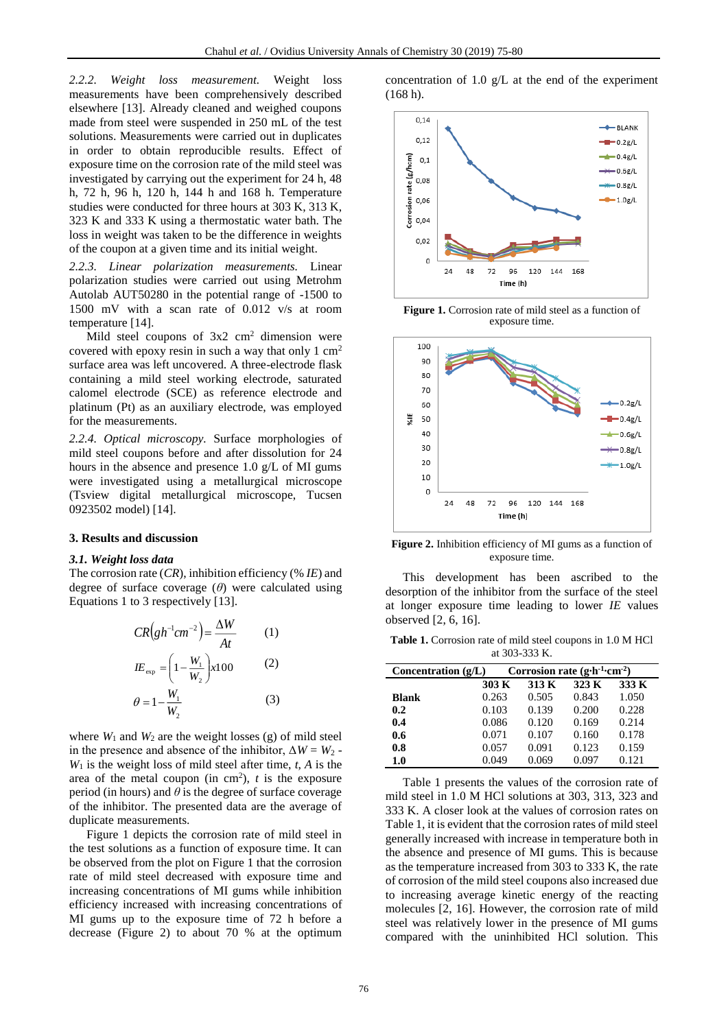*2.2.2. Weight loss measurement.* Weight loss measurements have been comprehensively described elsewhere [13]. Already cleaned and weighed coupons made from steel were suspended in 250 mL of the test solutions. Measurements were carried out in duplicates in order to obtain reproducible results. Effect of exposure time on the corrosion rate of the mild steel was investigated by carrying out the experiment for 24 h, 48 h, 72 h, 96 h, 120 h, 144 h and 168 h. Temperature studies were conducted for three hours at 303 K, 313 K, 323 K and 333 K using a thermostatic water bath. The loss in weight was taken to be the difference in weights of the coupon at a given time and its initial weight.

*2.2.3. Linear polarization measurements.* Linear polarization studies were carried out using Metrohm Autolab AUT50280 in the potential range of -1500 to 1500 mV with a scan rate of 0.012 v/s at room temperature [14].

Mild steel coupons of  $3x^2$  cm<sup>2</sup> dimension were covered with epoxy resin in such a way that only  $1 \text{ cm}^2$ surface area was left uncovered. A three-electrode flask containing a mild steel working electrode, saturated calomel electrode (SCE) as reference electrode and platinum (Pt) as an auxiliary electrode, was employed for the measurements.

*2.2.4. Optical microscopy.* Surface morphologies of mild steel coupons before and after dissolution for 24 hours in the absence and presence 1.0 g/L of MI gums were investigated using a metallurgical microscope (Tsview digital metallurgical microscope, Tucsen 0923502 model) [14].

#### **3. Results and discussion**

#### *3.1. Weight loss data*

The corrosion rate (*CR*), inhibition efficiency (% *IE*) and degree of surface coverage (*θ*) were calculated using Equations 1 to 3 respectively [13].

$$
CR(gh^{-1}cm^{-2}) = \frac{\Delta W}{At}
$$
  
\n
$$
IE_{\exp} = \left(1 - \frac{W_1}{W_2}\right) \times 100
$$
 (2)  
\n
$$
\theta = 1 - \frac{W_1}{W_2}
$$
 (3)

where  $W_1$  and  $W_2$  are the weight losses (g) of mild steel in the presence and absence of the inhibitor,  $\Delta W = W_2$  - $W_1$  is the weight loss of mild steel after time,  $t$ ,  $A$  is the area of the metal coupon (in cm<sup>2</sup>),  $t$  is the exposure period (in hours) and  $\theta$  is the degree of surface coverage of the inhibitor. The presented data are the average of duplicate measurements.

Figure 1 depicts the corrosion rate of mild steel in the test solutions as a function of exposure time. It can be observed from the plot on Figure 1 that the corrosion rate of mild steel decreased with exposure time and increasing concentrations of MI gums while inhibition efficiency increased with increasing concentrations of MI gums up to the exposure time of 72 h before a decrease (Figure 2) to about 70 % at the optimum concentration of 1.0 g/L at the end of the experiment (168 h).



**Figure 1.** Corrosion rate of mild steel as a function of exposure time.



**Figure 2.** Inhibition efficiency of MI gums as a function of exposure time.

This development has been ascribed to the desorption of the inhibitor from the surface of the steel at longer exposure time leading to lower *IE* values observed [2, 6, 16].

**Table 1.** Corrosion rate of mild steel coupons in 1.0 M HCl at 303-333 K.

| $\mu_{\rm c}$ $\sim$ $\sim$ $\sim$ $\sim$ $\sim$ $\mu_{\rm c}$ .         |       |       |       |       |
|--------------------------------------------------------------------------|-------|-------|-------|-------|
| Corrosion rate $(g \cdot h^{-1} \cdot cm^{-2})$<br>Concentration $(g/L)$ |       |       |       |       |
|                                                                          | 303 K | 313 K | 323 K | 333 K |
| <b>Blank</b>                                                             | 0.263 | 0.505 | 0.843 | 1.050 |
| 0.2                                                                      | 0.103 | 0.139 | 0.200 | 0.228 |
| 0.4                                                                      | 0.086 | 0.120 | 0.169 | 0.214 |
| 0.6                                                                      | 0.071 | 0.107 | 0.160 | 0.178 |
| 0.8                                                                      | 0.057 | 0.091 | 0.123 | 0.159 |
| 1.0                                                                      | 0.049 | 0.069 | 0.097 | 0.121 |

Table 1 presents the values of the corrosion rate of mild steel in 1.0 M HCl solutions at 303, 313, 323 and 333 K. A closer look at the values of corrosion rates on Table 1, it is evident that the corrosion rates of mild steel generally increased with increase in temperature both in the absence and presence of MI gums. This is because as the temperature increased from 303 to 333 K, the rate of corrosion of the mild steel coupons also increased due to increasing average kinetic energy of the reacting molecules [2, 16]. However, the corrosion rate of mild steel was relatively lower in the presence of MI gums compared with the uninhibited HCl solution. This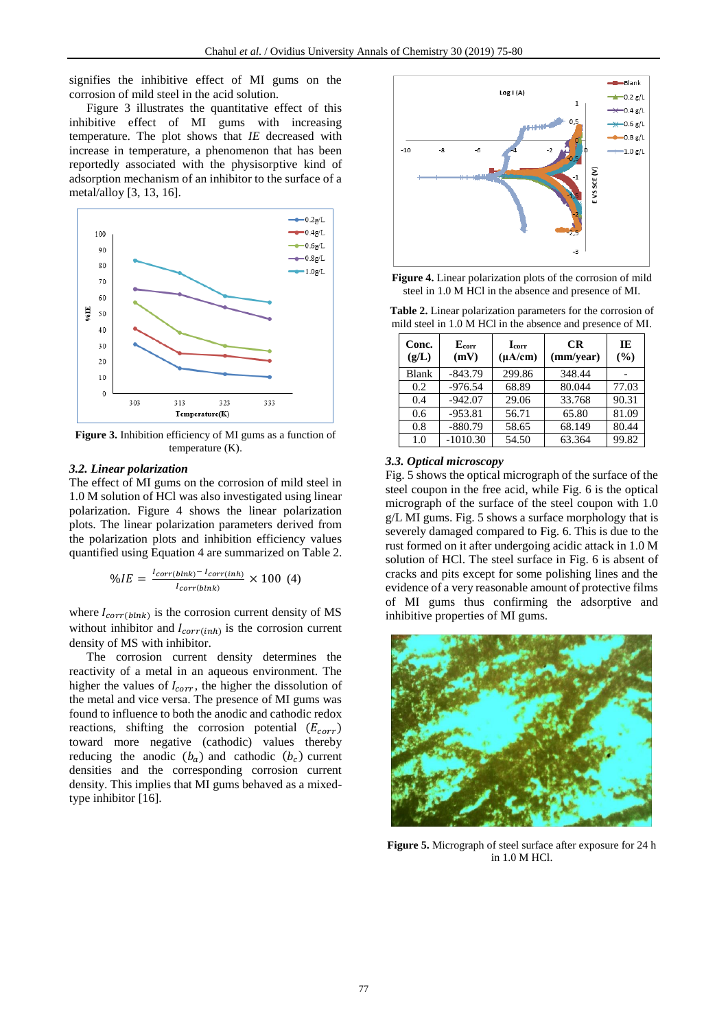signifies the inhibitive effect of MI gums on the corrosion of mild steel in the acid solution.

Figure 3 illustrates the quantitative effect of this inhibitive effect of MI gums with increasing temperature. The plot shows that *IE* decreased with increase in temperature, a phenomenon that has been reportedly associated with the physisorptive kind of adsorption mechanism of an inhibitor to the surface of a metal/alloy [3, 13, 16].



**Figure 3.** Inhibition efficiency of MI gums as a function of temperature (K).

### *3.2. Linear polarization*

The effect of MI gums on the corrosion of mild steel in 1.0 M solution of HCl was also investigated using linear polarization. Figure 4 shows the linear polarization plots. The linear polarization parameters derived from the polarization plots and inhibition efficiency values quantified using Equation 4 are summarized on Table 2.

$$
\%IE = \frac{I_{corr(blnk)} - I_{corr(link)}}{I_{corr(blnk)}} \times 100 \tag{4}
$$

where  $I_{corr(blnk)}$  is the corrosion current density of MS without inhibitor and  $I_{corr(int)}$  is the corrosion current density of MS with inhibitor.

The corrosion current density determines the reactivity of a metal in an aqueous environment. The higher the values of  $I_{corr}$ , the higher the dissolution of the metal and vice versa. The presence of MI gums was found to influence to both the anodic and cathodic redox reactions, shifting the corrosion potential  $(E_{corr})$ toward more negative (cathodic) values thereby reducing the anodic  $(b_a)$  and cathodic  $(b_c)$  current densities and the corresponding corrosion current density. This implies that MI gums behaved as a mixedtype inhibitor [16].



**Figure 4.** Linear polarization plots of the corrosion of mild steel in 1.0 M HCl in the absence and presence of MI.

| Conc.<br>(g/L) | E <sub>corr</sub><br>(mV) | <b>L</b> corr<br>$(\mu A/cm)$ | <b>CR</b><br>(mm/year) | IE<br>(%) |
|----------------|---------------------------|-------------------------------|------------------------|-----------|
| <b>Blank</b>   | $-843.79$                 | 299.86                        | 348.44                 |           |
| 0.2            | $-976.54$                 | 68.89                         | 80.044                 | 77.03     |
| 0.4            | $-942.07$                 | 29.06                         | 33.768                 | 90.31     |
| 0.6            | $-953.81$                 | 56.71                         | 65.80                  | 81.09     |
| 0.8            | $-880.79$                 | 58.65                         | 68.149                 | 80.44     |
| 1.0            | $-1010.30$                | 54.50                         | 63.364                 | 99.82     |

**Table 2.** Linear polarization parameters for the corrosion of mild steel in 1.0 M HCl in the absence and presence of MI.

#### *3.3. Optical microscopy*

Fig. 5 shows the optical micrograph of the surface of the steel coupon in the free acid, while Fig. 6 is the optical micrograph of the surface of the steel coupon with 1.0 g/L MI gums. Fig. 5 shows a surface morphology that is severely damaged compared to Fig. 6. This is due to the rust formed on it after undergoing acidic attack in 1.0 M solution of HCl. The steel surface in Fig. 6 is absent of cracks and pits except for some polishing lines and the evidence of a very reasonable amount of protective films of MI gums thus confirming the adsorptive and inhibitive properties of MI gums.



**Figure 5.** Micrograph of steel surface after exposure for 24 h in 1.0 M HCl.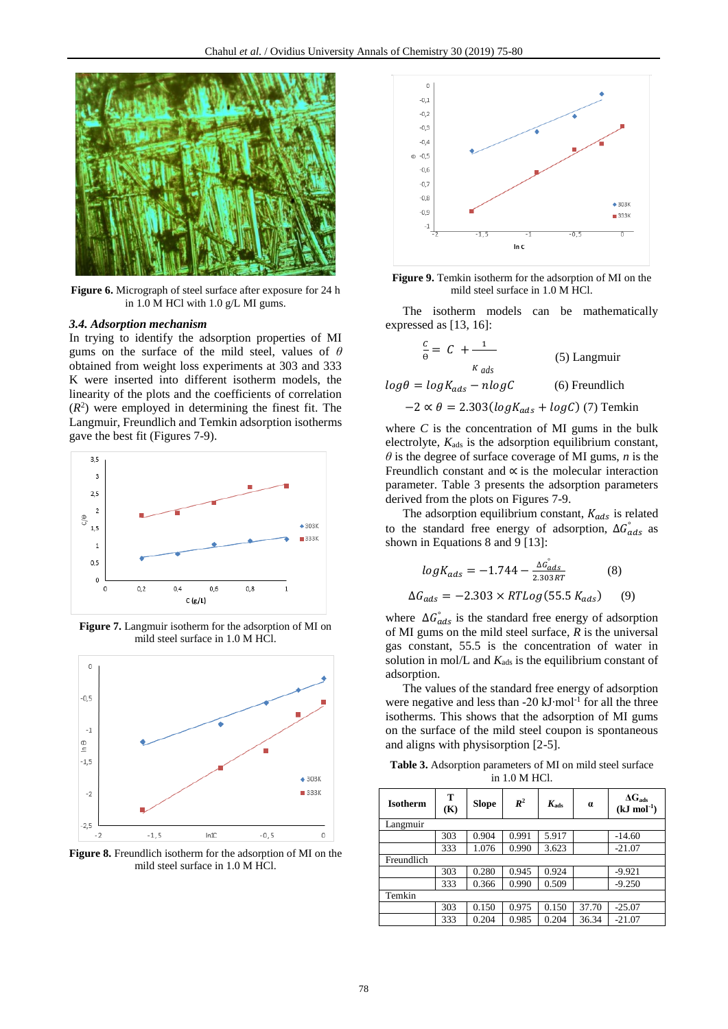

**Figure 6.** Micrograph of steel surface after exposure for 24 h in 1.0 M HCl with 1.0 g/L MI gums.

#### *3.4. Adsorption mechanism*

In trying to identify the adsorption properties of MI gums on the surface of the mild steel, values of *θ* obtained from weight loss experiments at 303 and 333 K were inserted into different isotherm models, the linearity of the plots and the coefficients of correlation  $(R<sup>2</sup>)$  were employed in determining the finest fit. The Langmuir, Freundlich and Temkin adsorption isotherms gave the best fit (Figures 7-9).



**Figure 7.** Langmuir isotherm for the adsorption of MI on mild steel surface in 1.0 M HCl.



**Figure 8.** Freundlich isotherm for the adsorption of MI on the mild steel surface in 1.0 M HCl.



**Figure 9.** Temkin isotherm for the adsorption of MI on the mild steel surface in 1.0 M HCl.

The isotherm models can be mathematically expressed as [13, 16]:

$$
\frac{c}{\theta} = C + \frac{1}{\kappa_{ads}}
$$
 (5) Langmuir  

$$
log\theta = logK_{ads} - nlogC
$$
 (6) Freundlich  
-2 \propto \theta = 2.303(logK\_{ads} + logC) (7) Temkin

where *C* is the concentration of MI gums in the bulk electrolyte,  $K_{ads}$  is the adsorption equilibrium constant, *θ* is the degree of surface coverage of MI gums, *n* is the Freundlich constant and ∝ is the molecular interaction parameter. Table 3 presents the adsorption parameters derived from the plots on Figures 7-9.

The adsorption equilibrium constant,  $K_{ads}$  is related to the standard free energy of adsorption,  $\Delta G_{ads}$  as shown in Equations 8 and 9 [13]:

$$
logK_{ads} = -1.744 - \frac{\Delta G_{ads}^{\circ}}{2.303RT}
$$
 (8)

$$
\Delta G_{ads} = -2.303 \times RTLog(55.5 K_{ads}) \tag{9}
$$

where  $\Delta G_{ads}$  is the standard free energy of adsorption of MI gums on the mild steel surface, *R* is the universal gas constant, 55.5 is the concentration of water in solution in mol/L and  $K_{ads}$  is the equilibrium constant of adsorption.

The values of the standard free energy of adsorption were negative and less than -20 kJ·mol<sup>-1</sup> for all the three isotherms. This shows that the adsorption of MI gums on the surface of the mild steel coupon is spontaneous and aligns with physisorption [2-5].

**Table 3.** Adsorption parameters of MI on mild steel surface in 1.0 M HCl.

| <b>Isotherm</b> | т<br>(K) | Slope | $R^2$ | $K_{ads}$ | $\alpha$ | $\Delta G_{ads}$<br>$(kJ \mod 1)$ |
|-----------------|----------|-------|-------|-----------|----------|-----------------------------------|
| Langmuir        |          |       |       |           |          |                                   |
|                 | 303      | 0.904 | 0.991 | 5.917     |          | $-14.60$                          |
|                 | 333      | 1.076 | 0.990 | 3.623     |          | $-21.07$                          |
| Freundlich      |          |       |       |           |          |                                   |
|                 | 303      | 0.280 | 0.945 | 0.924     |          | $-9.921$                          |
|                 | 333      | 0.366 | 0.990 | 0.509     |          | $-9.250$                          |
| Temkin          |          |       |       |           |          |                                   |
|                 | 303      | 0.150 | 0.975 | 0.150     | 37.70    | $-25.07$                          |
|                 | 333      | 0.204 | 0.985 | 0.204     | 36.34    | $-21.07$                          |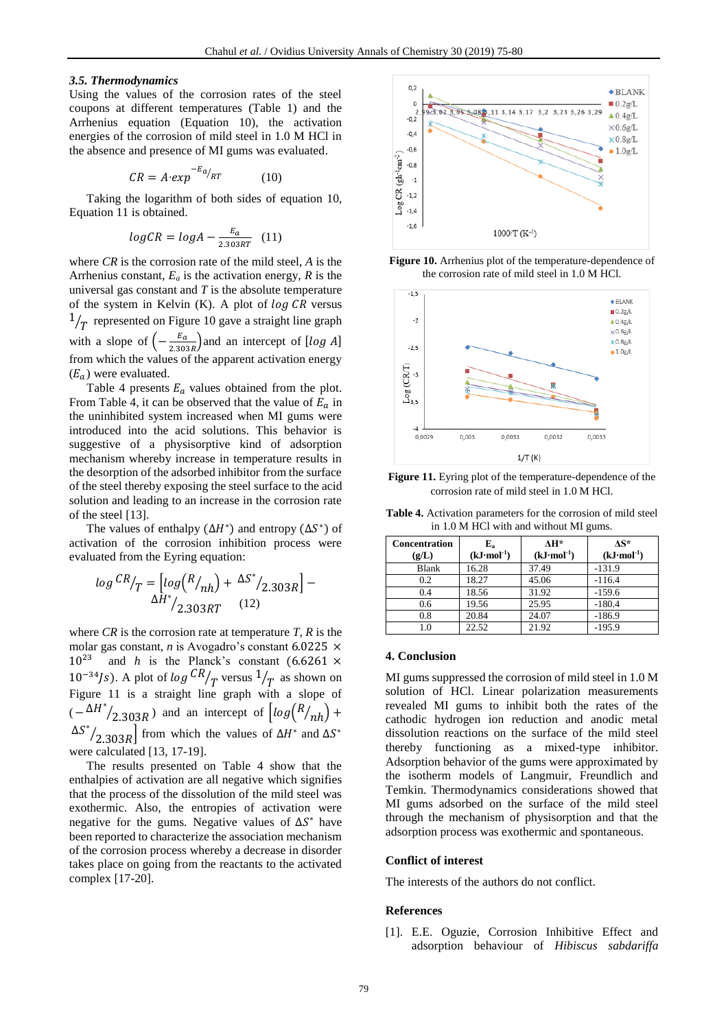### *3.5. Thermodynamics*

Using the values of the corrosion rates of the steel coupons at different temperatures (Table 1) and the Arrhenius equation (Equation 10), the activation energies of the corrosion of mild steel in 1.0 M HCl in the absence and presence of MI gums was evaluated.

$$
CR = A \cdot exp^{-E_a}/_{RT} \tag{10}
$$

Taking the logarithm of both sides of equation 10, Equation 11 is obtained.

$$
logCR = logA - \frac{E_a}{2.303RT} \quad (11)
$$

where *CR* is the corrosion rate of the mild steel, *A* is the Arrhenius constant,  $E_a$  is the activation energy,  $R$  is the universal gas constant and *T* is the absolute temperature of the system in Kelvin (K). A plot of  $\log CR$  versus  $\frac{1}{T}$  represented on Figure 10 gave a straight line graph with a slope of  $\left(-\frac{E_a}{2.30}\right)$  $\frac{2a}{2.303R}$  and an intercept of [log A] from which the values of the apparent activation energy  $(E_a)$  were evaluated.

Table 4 presents  $E_a$  values obtained from the plot. From Table 4, it can be observed that the value of  $E_a$  in the uninhibited system increased when MI gums were introduced into the acid solutions. This behavior is suggestive of a physisorptive kind of adsorption mechanism whereby increase in temperature results in the desorption of the adsorbed inhibitor from the surface of the steel thereby exposing the steel surface to the acid solution and leading to an increase in the corrosion rate of the steel [13].

The values of enthalpy  $(\Delta H^*)$  and entropy  $(\Delta S^*)$  of activation of the corrosion inhibition process were evaluated from the Eyring equation:

$$
\log {CR}_{\text{T}} = \left[ \log \left( \frac{R_{/nh}}{nh} \right) + \frac{\Delta S^*}{2.303R} \right] - \frac{\Delta H^*}{2.303RT} \quad (12)
$$

where  $CR$  is the corrosion rate at temperature  $T$ ,  $R$  is the molar gas constant, *n* is Avogadro's constant 6.0225  $\times$  $10^{23}$  and *h* is the Planck's constant (6.6261  $\times$  $10^{-34}$ Js). A plot of  $\log {CR}/{T}$  versus  $1/T$  as shown on Figure 11 is a straight line graph with a slope of  $(-\Delta H^*$  $\sqrt{2.303R}$ ) and an intercept of  $\left[ \log \left( \frac{R}{nh} \right) + \right]$ ∆ ∗  $\sqrt{2.303R}$  from which the values of  $\Delta H^*$  and  $\Delta S^*$ were calculated [13, 17-19].

The results presented on Table 4 show that the enthalpies of activation are all negative which signifies that the process of the dissolution of the mild steel was exothermic. Also, the entropies of activation were negative for the gums. Negative values of  $\Delta S^*$  have been reported to characterize the association mechanism of the corrosion process whereby a decrease in disorder takes place on going from the reactants to the activated complex [17-20].



**Figure 10.** Arrhenius plot of the temperature-dependence of the corrosion rate of mild steel in 1.0 M HCl.



Figure 11. Eyring plot of the temperature-dependence of the corrosion rate of mild steel in 1.0 M HCl.

| <b>Table 4.</b> Activation parameters for the corrosion of mild steel |  |
|-----------------------------------------------------------------------|--|
| in 1.0 M HCl with and without MI gums.                                |  |

| <b>Concentration</b><br>(g/L) | $E_{a}$<br>$(kJ \cdot mol^{-1})$ | $\mathbf{A}$ H*<br>$(kJ \cdot mol^{-1})$ | $AS^*$<br>$(kJ \cdot mol^{-1})$ |
|-------------------------------|----------------------------------|------------------------------------------|---------------------------------|
| <b>Blank</b>                  | 16.28                            | 37.49                                    | $-131.9$                        |
| 0.2                           | 18.27                            | 45.06                                    | $-116.4$                        |
| 0.4                           | 18.56                            | 31.92                                    | $-159.6$                        |
| 0.6                           | 19.56                            | 25.95                                    | $-180.4$                        |
| 0.8                           | 20.84                            | 24.07                                    | $-186.9$                        |
| 1.0                           | 22.52                            | 21.92                                    | $-195.9$                        |

### **4. Conclusion**

MI gums suppressed the corrosion of mild steel in 1.0 M solution of HCl. Linear polarization measurements revealed MI gums to inhibit both the rates of the cathodic hydrogen ion reduction and anodic metal dissolution reactions on the surface of the mild steel thereby functioning as a mixed-type inhibitor. Adsorption behavior of the gums were approximated by the isotherm models of Langmuir, Freundlich and Temkin. Thermodynamics considerations showed that MI gums adsorbed on the surface of the mild steel through the mechanism of physisorption and that the adsorption process was exothermic and spontaneous.

### **Conflict of interest**

The interests of the authors do not conflict.

#### **References**

[1]. E.E. Oguzie, Corrosion Inhibitive Effect and adsorption behaviour of *Hibiscus sabdariffa*